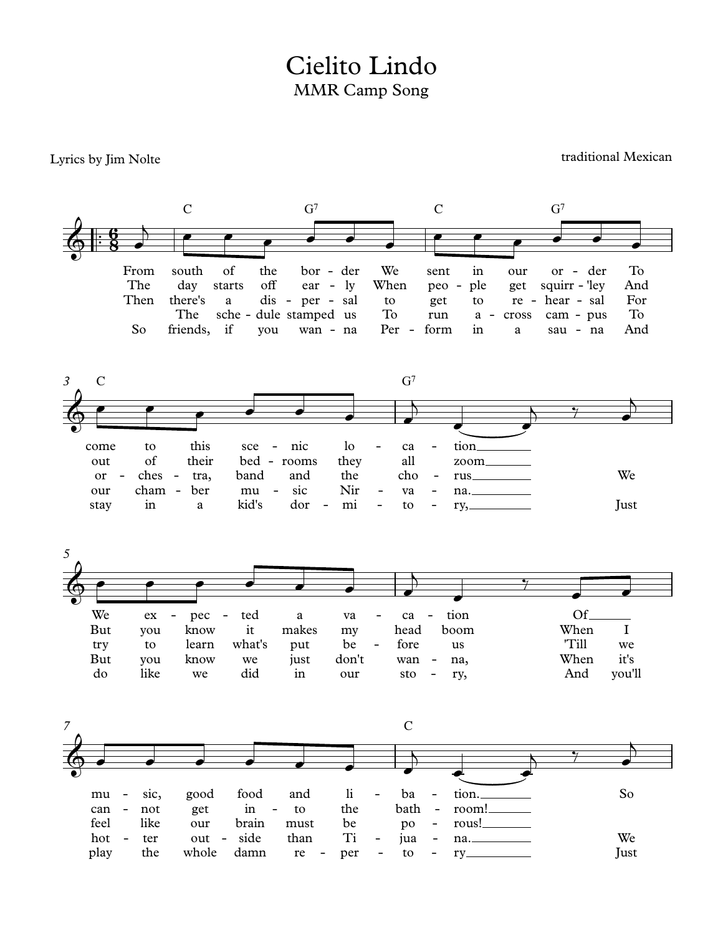## MMR Camp Song Cielito Lindo

## Lyrics by Jim Nolte

traditional Mexican